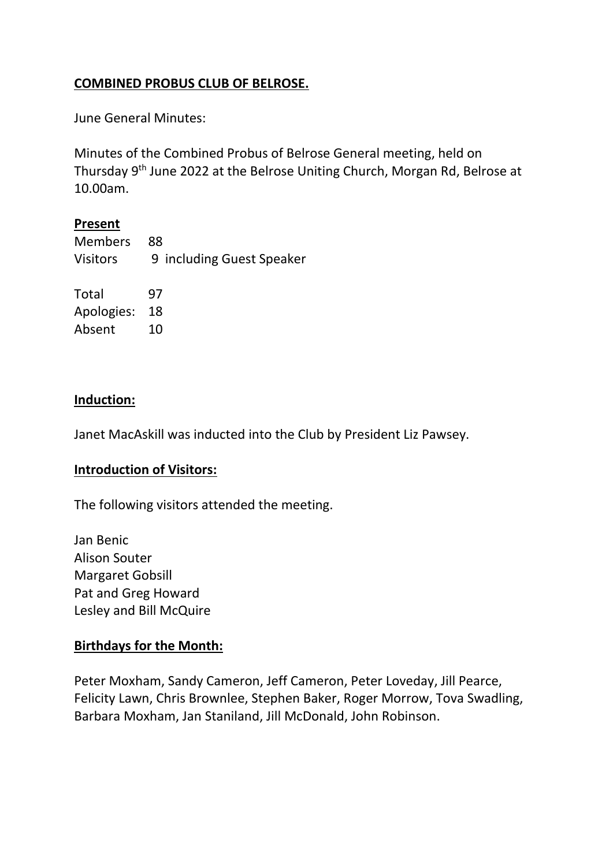## **COMBINED PROBUS CLUB OF BELROSE.**

June General Minutes:

Minutes of the Combined Probus of Belrose General meeting, held on Thursday 9<sup>th</sup> June 2022 at the Belrose Uniting Church, Morgan Rd, Belrose at 10.00am.

## **Present**

| <b>Members</b>  | 88                        |
|-----------------|---------------------------|
| <b>Visitors</b> | 9 including Guest Speaker |
| Total           | 97                        |
| Apologies:      | 18                        |
| Absent          | 10                        |
|                 |                           |

## **Induction:**

Janet MacAskill was inducted into the Club by President Liz Pawsey.

## **Introduction of Visitors:**

The following visitors attended the meeting.

Jan Benic Alison Souter Margaret Gobsill Pat and Greg Howard Lesley and Bill McQuire

## **Birthdays for the Month:**

Peter Moxham, Sandy Cameron, Jeff Cameron, Peter Loveday, Jill Pearce, Felicity Lawn, Chris Brownlee, Stephen Baker, Roger Morrow, Tova Swadling, Barbara Moxham, Jan Staniland, Jill McDonald, John Robinson.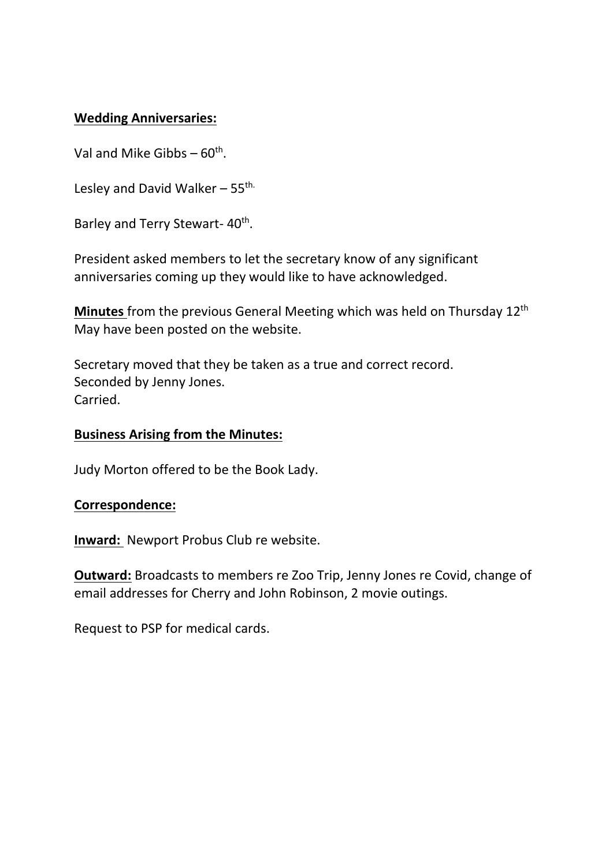## **Wedding Anniversaries:**

Val and Mike Gibbs  $-60^{th}$ .

Lesley and David Walker  $-55$ <sup>th.</sup>

Barley and Terry Stewart- 40<sup>th</sup>.

President asked members to let the secretary know of any significant anniversaries coming up they would like to have acknowledged.

**Minutes** from the previous General Meeting which was held on Thursday 12th May have been posted on the website.

Secretary moved that they be taken as a true and correct record. Seconded by Jenny Jones. Carried.

### **Business Arising from the Minutes:**

Judy Morton offered to be the Book Lady.

### **Correspondence:**

**Inward:** Newport Probus Club re website.

**Outward:** Broadcasts to members re Zoo Trip, Jenny Jones re Covid, change of email addresses for Cherry and John Robinson, 2 movie outings.

Request to PSP for medical cards.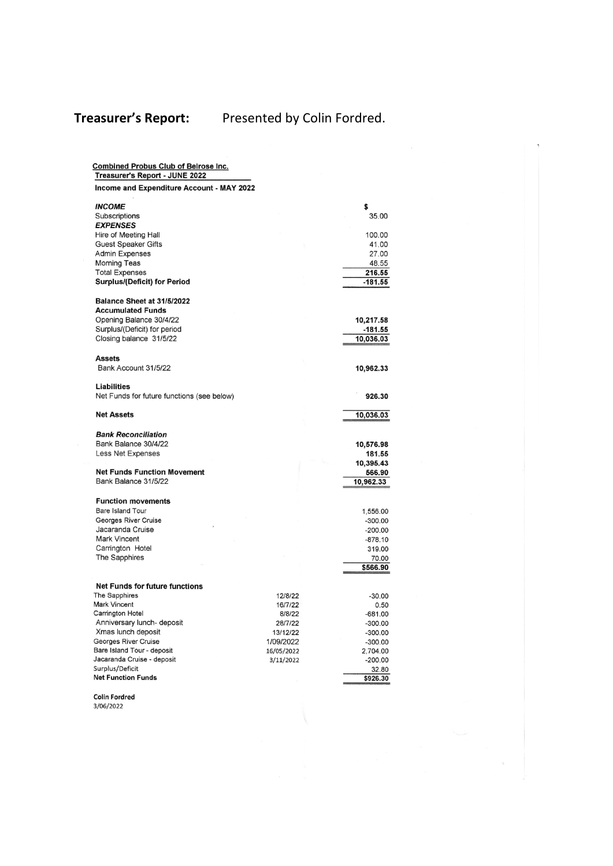# **Treasurer's Report:** Presented by Colin Fordred.

| <b>Combined Probus Club of Belrose Inc.</b><br>Treasurer's Report - JUNE 2022 |                   |                        |
|-------------------------------------------------------------------------------|-------------------|------------------------|
| Income and Expenditure Account - MAY 2022                                     |                   |                        |
| <b>INCOME</b>                                                                 |                   | \$                     |
| Subscriptions                                                                 |                   | 35.00                  |
| <b>EXPENSES</b>                                                               |                   | 100.00                 |
| Hire of Meeting Hall<br><b>Guest Speaker Gifts</b>                            |                   | 41.00                  |
| <b>Admin Expenses</b>                                                         |                   | 27.00                  |
| <b>Morning Teas</b>                                                           |                   | 48.55                  |
| <b>Total Expenses</b>                                                         |                   | 216.55                 |
| <b>Surplus/(Deficit) for Period</b>                                           |                   | $-181.55$              |
| Balance Sheet at 31/5/2022                                                    |                   |                        |
| <b>Accumulated Funds</b>                                                      |                   |                        |
| Opening Balance 30/4/22                                                       |                   | 10,217.58              |
| Surplus/(Deficit) for period                                                  |                   | -181.55                |
| Closing balance 31/5/22                                                       |                   | 10,036.03              |
| <b>Assets</b>                                                                 |                   |                        |
| Bank Account 31/5/22                                                          |                   | 10,962.33              |
| <b>Liabilities</b>                                                            |                   |                        |
| Net Funds for future functions (see below)                                    |                   | 926.30                 |
| <b>Net Assets</b>                                                             |                   | 10,036.03              |
| <b>Bank Reconciliation</b>                                                    |                   |                        |
| Bank Balance 30/4/22                                                          |                   | 10,576.98              |
| Less Net Expenses                                                             |                   | 181.55                 |
|                                                                               |                   | 10,395.43              |
| <b>Net Funds Function Movement</b>                                            |                   | 566.90                 |
| Bank Balance 31/5/22                                                          |                   | 10,962.33              |
| <b>Function movements</b>                                                     |                   |                        |
| Bare Island Tour                                                              |                   | 1,556.00               |
| <b>Georges River Cruise</b>                                                   |                   | $-300.00$              |
| Jacaranda Cruise                                                              |                   | $-200.00$              |
| <b>Mark Vincent</b>                                                           |                   | $-878.10$              |
| Carrington Hotel<br>The Sapphires                                             |                   | 319.00<br>70.00        |
|                                                                               |                   | \$566.90               |
|                                                                               |                   |                        |
| <b>Net Funds for future functions</b>                                         |                   |                        |
| The Sapphires                                                                 | 12/8/22           | $-30.00$               |
| <b>Mark Vincent</b>                                                           | 16/7/22           | 0.50                   |
| Carrington Hotel<br>Anniversary lunch- deposit                                | 8/8/22<br>28/7/22 | $-681.00$              |
| Xmas lunch deposit                                                            | 13/12/22          | $-300.00$<br>$-300.00$ |
| Georges River Cruise                                                          | 1/09/2022         | $-300.00$              |
| Bare Island Tour - deposit                                                    | 16/05/2022        | 2,704.00               |
| Jacaranda Cruise - deposit                                                    | 3/11/2022         | $-200.00$              |
| Surplus/Deficit                                                               |                   | 32.80                  |
| <b>Net Function Funds</b>                                                     |                   | \$926.30               |
|                                                                               |                   |                        |

Colin Fordred<br>3/06/2022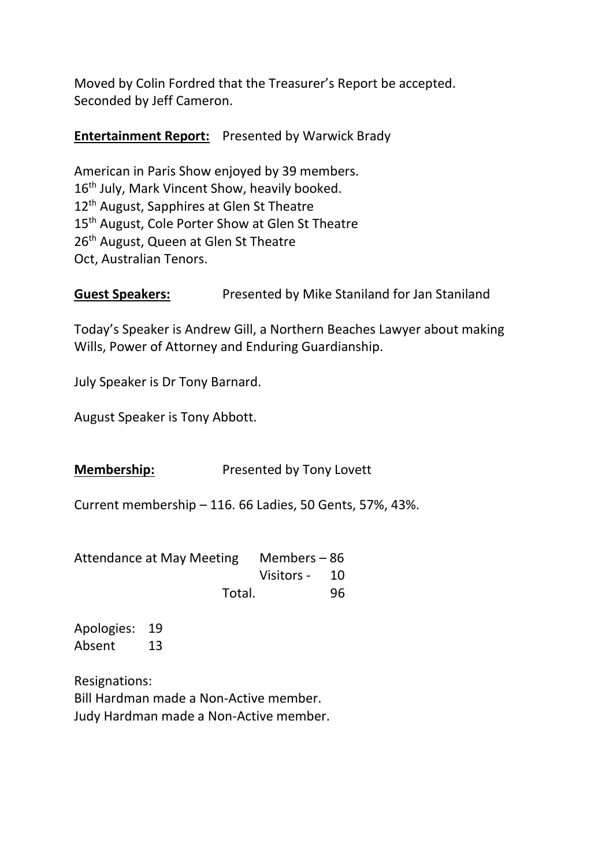Moved by Colin Fordred that the Treasurer's Report be accepted. Seconded by Jeff Cameron.

## **Entertainment Report:** Presented by Warwick Brady

American in Paris Show enjoyed by 39 members. 16<sup>th</sup> July, Mark Vincent Show, heavily booked. 12<sup>th</sup> August, Sapphires at Glen St Theatre 15<sup>th</sup> August, Cole Porter Show at Glen St Theatre 26<sup>th</sup> August, Queen at Glen St Theatre Oct, Australian Tenors.

**Guest Speakers:** Presented by Mike Staniland for Jan Staniland

Today's Speaker is Andrew Gill, a Northern Beaches Lawyer about making Wills, Power of Attorney and Enduring Guardianship.

July Speaker is Dr Tony Barnard.

August Speaker is Tony Abbott.

**Membership:** Presented by Tony Lovett

Current membership – 116. 66 Ladies, 50 Gents, 57%, 43%.

| Attendance at May Meeting Members - 86 |               |     |
|----------------------------------------|---------------|-----|
|                                        | Visitors - 10 |     |
| Total.                                 |               | 96. |

Apologies: 19 Absent 13

Resignations: Bill Hardman made a Non-Active member. Judy Hardman made a Non-Active member.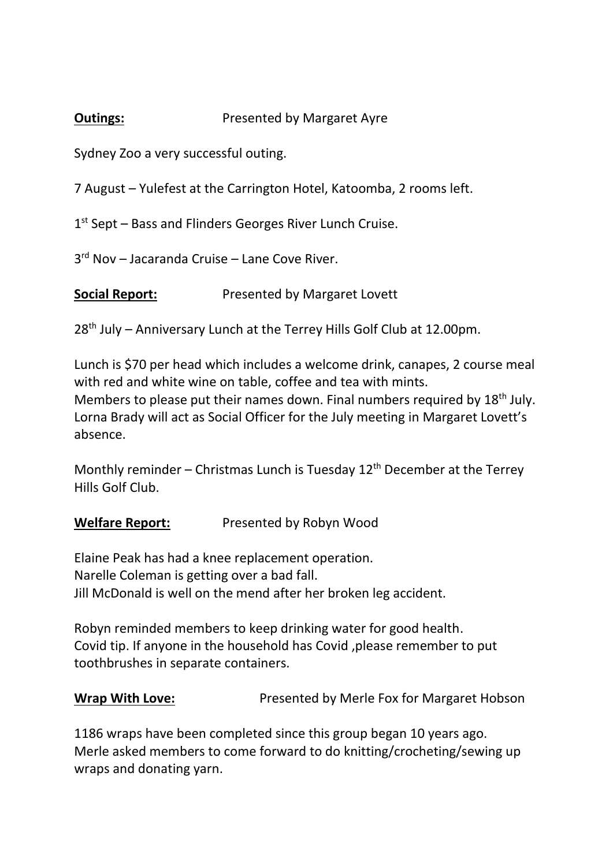## **Outings:** Presented by Margaret Ayre

Sydney Zoo a very successful outing.

7 August – Yulefest at the Carrington Hotel, Katoomba, 2 rooms left.

1<sup>st</sup> Sept - Bass and Flinders Georges River Lunch Cruise.

3<sup>rd</sup> Nov - Jacaranda Cruise - Lane Cove River.

**Social Report:** Presented by Margaret Lovett

28<sup>th</sup> July – Anniversary Lunch at the Terrey Hills Golf Club at 12.00pm.

Lunch is \$70 per head which includes a welcome drink, canapes, 2 course meal with red and white wine on table, coffee and tea with mints. Members to please put their names down. Final numbers required by 18<sup>th</sup> July. Lorna Brady will act as Social Officer for the July meeting in Margaret Lovett's absence.

Monthly reminder – Christmas Lunch is Tuesday  $12<sup>th</sup>$  December at the Terrey Hills Golf Club.

## **Welfare Report:** Presented by Robyn Wood

Elaine Peak has had a knee replacement operation. Narelle Coleman is getting over a bad fall. Jill McDonald is well on the mend after her broken leg accident.

Robyn reminded members to keep drinking water for good health. Covid tip. If anyone in the household has Covid ,please remember to put toothbrushes in separate containers.

**Wrap With Love:** Presented by Merle Fox for Margaret Hobson

1186 wraps have been completed since this group began 10 years ago. Merle asked members to come forward to do knitting/crocheting/sewing up wraps and donating yarn.